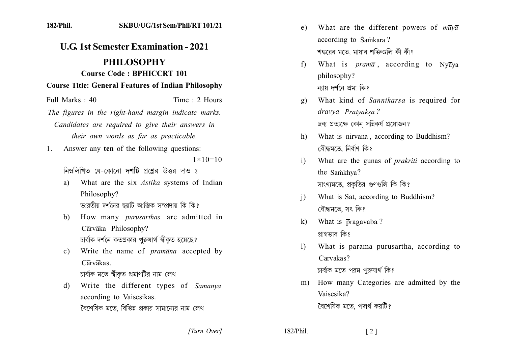| <b>U.G. 1st Semester Examination - 2021</b> |                                                            |
|---------------------------------------------|------------------------------------------------------------|
|                                             | <b>PHILOSOPHY</b>                                          |
|                                             | <b>Course Code: BPHICCRT 101</b>                           |
|                                             | <b>Course Title: General Features of Indian Philosophy</b> |
| Full Marks: 40                              | Time: 2 Hours                                              |
|                                             | The figures in the right-hand margin indicate marks.       |
|                                             | Candidates are required to give their answers in           |
|                                             | their own words as far as practicable.                     |
| 1.                                          | Answer any ten of the following questions:                 |
|                                             | $1 \times 10 = 10$                                         |
|                                             | নিম্নলিখিত যে-কোনো দশটি প্রশ্নের উত্তর দাও ঃ               |
| a)                                          | What are the six Astika systems of Indian                  |
|                                             | Philosophy?                                                |
|                                             | ভারতীয় দর্শনের ছয়টি আস্তিক সম্প্রদায় কি কি?             |
| b)                                          | How many <i>purusarthas</i> are admitted in                |
|                                             | Cārvāka Philosophy?                                        |
|                                             | চার্বাক দর্শনে কতপ্রকার পুরুষার্থ স্বীকৃত হয়েছে?          |
| $\circ$ )                                   | Write the name of <i>pramana</i> accepted by<br>Carvakas.  |
|                                             | চার্বাক মতে স্বীকৃত প্রমাণটির নাম লেখ।                     |
| $\mathbf{d}$                                | Write the different types of Samanya                       |
|                                             | according to Vaisesikas.                                   |
|                                             | বৈশেষিক মতে, বিভিন্ন প্রকার সামান্যের নাম লেখ।             |
|                                             |                                                            |

SKRIJ/IJC/1st Sem/Phil/RT 101/21

 $182/P$ hil

- e) What are the different powers of  $m\overline{a}y\overline{a}$ according to Samkara? শঙ্করের মতে, মায়ার শক্তিগুলি কী কী?
- What is  $pram\bar{a}$ , according to Nyaya  $f$ philosophy? ন্যায় দর্শনে প্রমা কি?
- What kind of Sannikarsa is required for  $g)$ dravya Pratyaksa? দ্রব্য প্রত্যক্ষে কোন সন্নিকর্ষ প্রয়োজন?
- What is nirvana, according to Buddhism? h) বৌদ্ধমতে, নিৰ্বাণ কি?
- What are the gunas of *prakriti* according to  $\mathbf{i}$ the Samkhya? সাংখ্যমতে, প্রকৃতির গুণগুলি কি কি?
- What is Sat, according to Buddhism?  $\mathbf{i}$ বৌদ্ধমতে, সৎ কি?
- What is pragavaba?  $\mathbf{k}$ প্ৰাগভাব কি?
- $\left| \right|$ What is parama purusartha, according to  $C\overline{ar}v\overline{a}kas?$ চার্বাক মতে পরম পুরুষার্থ কি?
- How many Categories are admitted by the  $m)$ Vaisesika? বৈশেষিক মতে, পদাৰ্থ কয়টি?

[Turn Over]

182/Phil.

 $\lceil 2 \rceil$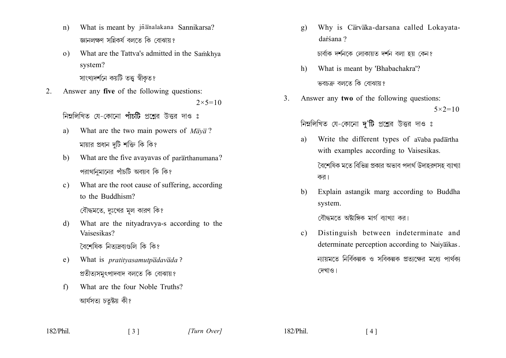- What is meant by jñanalakana Sannikarsa?  $n)$ জ্ঞানলক্ষণ সন্নিকর্ষ বলতে কি বোঝায়?
- What are the Tattva's admitted in the Samkhya  $\Omega$ system? সাংখ্যদর্শনে কয়টি তত্ত স্বীকৃত?
- Answer any five of the following questions:  $2.$  $2 \times 5 = 10$

নিম্নলিখিত যে-কোনো পাঁচটি প্রশ্নের উত্তর দাও ঃ

- What are the two main powers of  $M \bar{a} \nu \bar{a}$ ?  $a)$ মায়ার প্রধান দুটি শক্তি কি কি?
- $b)$ What are the five avayavas of pararthanumana? পরাথনিমানের পাঁচটি অবয়ব কি কি?
- What are the root cause of suffering, according  $c)$ to the Buddhism?

বৌদ্ধমতে, দুঃখের মূল কারণ কি?

What are the nityadravya-s according to the d) Vaisesikas?

বৈশেষিক নিতাদ্রব্যগুলি কি কি?

- What is *pratityasamutpadavada*?  $e)$ প্রতীত্যসমূৎপাদবাদ বলতে কি বোঝায়?
- What are the four Noble Truths?  $f$ আৰ্যসত্য চতুষ্টয় কী?

Why is Carvaka-darsana called Lokayata $g)$ darśana ?

চাৰ্বাক দৰ্শনকে লোকায়ত দৰ্শন বলা হয় কেন?

- What is meant by 'Bhabachakra'?  $h$ ) ভবচক্ৰ বলতে কি বোঝায়?
- Answer any two of the following questions:  $3<sub>1</sub>$  $5 \times 2 = 10$

নিম্নলিখিত যে-কোনো দ'টি প্রশ্নের উত্তর দাও ঃ

- Write the different types of avaba padartha a) with examples according to Vaisesikas. বৈশেষিক মতে বিভিন্ন প্রকার অভাব পদার্থ উদাহরণসহ ব্যাখ্যা
- Explain astangik marg according to Buddha  $h)$ system.

বৌদ্ধমতে অষ্টাঙ্গিক মার্গ ব্যাখ্যা কর।

কর।

Distinguish between indeterminate and  $c)$ determinate perception according to Naiyaikas. ন্যায়মতে নির্বিকল্পক ও সবিকল্পক প্রতাক্ষের মধ্যে পার্থক্য দেখাও।

182/Phil.